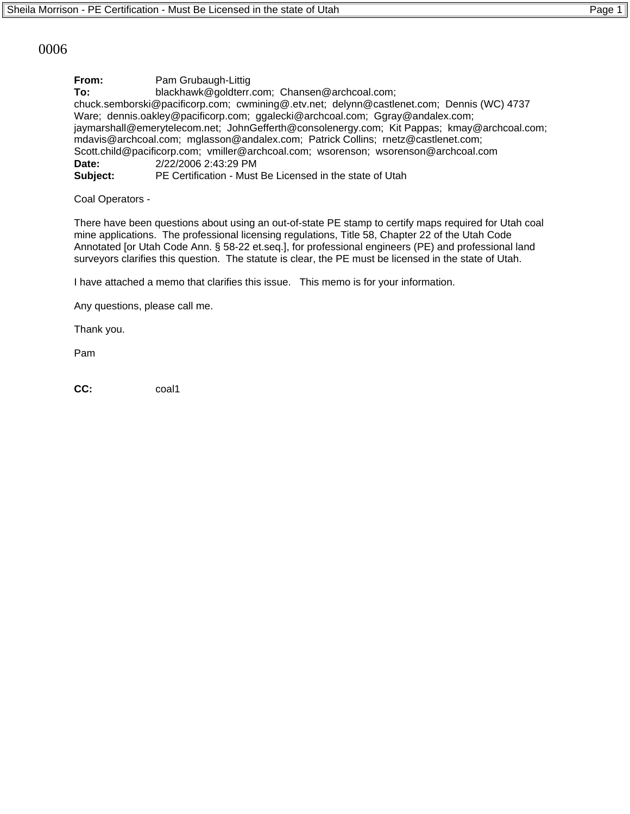## 0006

**From:** Pam Grubaugh-Littig **To:** blackhawk@goldterr.com; Chansen@archcoal.com; chuck.semborski@pacificorp.com; cwmining@.etv.net; delynn@castlenet.com; Dennis (WC) 4737 Ware; dennis.oakley@pacificorp.com; ggalecki@archcoal.com; Ggray@andalex.com; jaymarshall@emerytelecom.net; JohnGefferth@consolenergy.com; Kit Pappas; kmay@archcoal.com; mdavis@archcoal.com; mglasson@andalex.com; Patrick Collins; rnetz@castlenet.com; Scott.child@pacificorp.com; vmiller@archcoal.com; wsorenson; wsorenson@archcoal.com **Date:** 2/22/2006 2:43:29 PM **Subject:** PE Certification - Must Be Licensed in the state of Utah

Coal Operators -

There have been questions about using an out-of-state PE stamp to certify maps required for Utah coal mine applications. The professional licensing regulations, Title 58, Chapter 22 of the Utah Code Annotated [or Utah Code Ann. § 58-22 et.seq.], for professional engineers (PE) and professional land surveyors clarifies this question. The statute is clear, the PE must be licensed in the state of Utah.

I have attached a memo that clarifies this issue. This memo is for your information.

Any questions, please call me.

Thank you.

Pam

**CC:** coal1